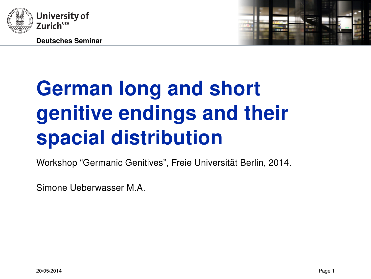



# German long and short genitive endings and their spacial distribution

Workshop "Germanic Genitives", Freie Universität Berlin, 2014.

Simone Ueberwasser M.A.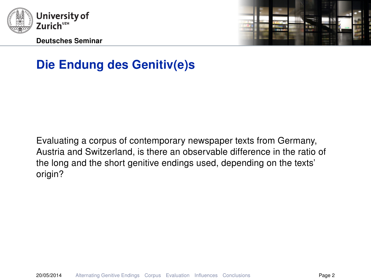



# Die Endung des Genitiv(e)s

Evaluating a corpus of contemporary newspaper texts from Germany, Austria and Switzerland, is there an observable difference in the ratio of the long and the short genitive endings used, depending on the texts' origin?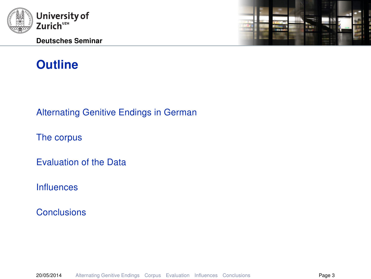

Deutsches Seminar



# **Outline**

[Alternating Genitive Endings in German](#page-3-0)

[The corpus](#page-7-0)

[Evaluation of the Data](#page-12-0)

[Influences](#page-40-0)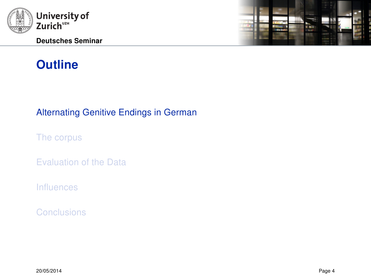<span id="page-3-0"></span>

Deutsches Seminar



# **Outline**

#### [Alternating Genitive Endings in German](#page-3-0)

[The corpus](#page-7-0)

[Evaluation of the Data](#page-12-0)

[Influences](#page-40-0)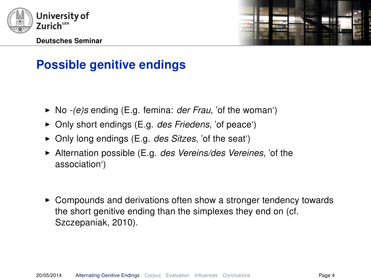



# Possible genitive endings

- $\triangleright$  No -(e)s ending (E.g. femina: *der Frau*, 'of the woman')
- $\triangleright$  Only short endings (E.g. des Friedens, 'of peace')
- $\triangleright$  Only long endings (E.g. des Sitzes, 'of the seat')
- $\blacktriangleright$  Alternation possible (E.g. *des Vereins/des Vereines*, 'of the association')
- $\triangleright$  Compounds and derivations often show a stronger tendency towards the short genitive ending than the simplexes they end on (cf. Szczepaniak, [2010\)](#page-58-0).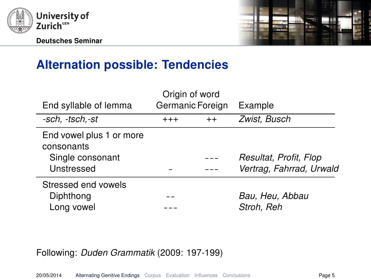



# Alternation possible: Tendencies

| End syllable of lemma                  |          | Origin of word<br>Germanic Foreign | Example                  |
|----------------------------------------|----------|------------------------------------|--------------------------|
| -sch, -tsch, -st                       | $^{+++}$ | $^{++}$                            | Zwist, Busch             |
| End vowel plus 1 or more<br>consonants |          |                                    |                          |
| Single consonant                       |          |                                    | Resultat, Profit, Flop   |
| Unstressed                             |          |                                    | Vertrag, Fahrrad, Urwald |
| Stressed end vowels                    |          |                                    |                          |
| Diphthong                              |          |                                    | Bau, Heu, Abbau          |
| Long vowel                             |          |                                    | Stroh, Reh               |

#### Following: Duden Grammatik [\(2009:](#page-57-0) 197-199)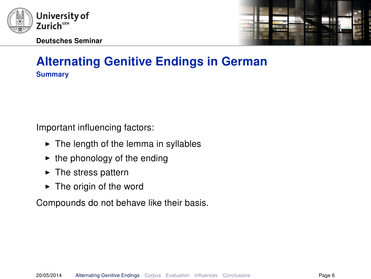



## Alternating Genitive Endings in German **Summary**

Important influencing factors:

- $\triangleright$  The length of the lemma in syllables
- $\blacktriangleright$  the phonology of the ending
- $\blacktriangleright$  The stress pattern
- $\blacktriangleright$  The origin of the word

Compounds do not behave like their basis.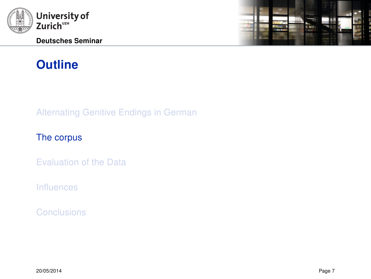<span id="page-7-0"></span>

# **Outline**

[Alternating Genitive Endings in German](#page-3-0)

#### [The corpus](#page-7-0)

[Evaluation of the Data](#page-12-0)

[Influences](#page-40-0)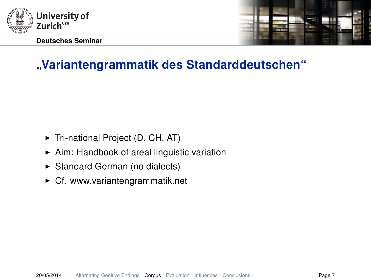



# "Variantengrammatik des Standarddeutschen"

- $\blacktriangleright$  Tri-national Project (D, CH, AT)
- $\blacktriangleright$  Aim: Handbook of areal linguistic variation
- ▶ Standard German (no dialects)
- $\triangleright$  Cf. [www.variantengrammatik.net](http://www.variantengrammatik.net)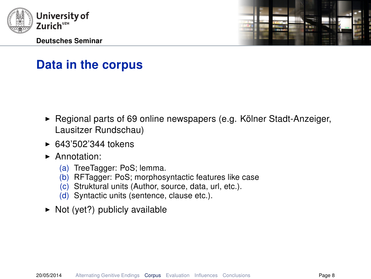



# Data in the corpus

- $\blacktriangleright$  Regional parts of 69 online newspapers (e.g. Kölner Stadt-Anzeiger, Lausitzer Rundschau)
- $\triangleright$  643'502'344 tokens
- Annotation:
	- (a) TreeTagger: PoS; lemma.
	- (b) RFTagger: PoS; morphosyntactic features like case
	- (c) Struktural units (Author, source, data, url, etc.).
	- (d) Syntactic units (sentence, clause etc.).
- $\triangleright$  Not (yet?) publicly available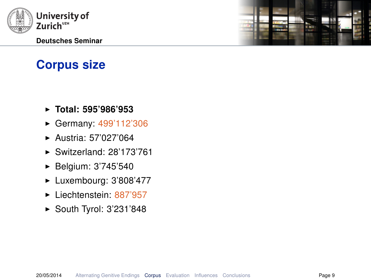

# Corpus size

- $\blacktriangleright$  Total: 595'986'953
- ► Germany: 499'112'306
- $\blacktriangleright$  Austria: 57'027'064
- $\blacktriangleright$  Switzerland: 28'173'761
- ► Belgium: 3'745'540
- $\blacktriangleright$  Luxembourg: 3'808'477
- $\blacktriangleright$  Liechtenstein: 887'957
- $\blacktriangleright$  South Tyrol: 3'231'848

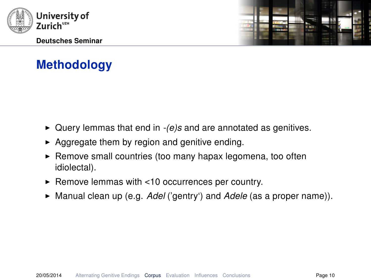



# **Methodology**

- $\triangleright$  Query lemmas that end in  $-(e)s$  and are annotated as genitives.
- $\triangleright$  Aggregate them by region and genitive ending.
- $\blacktriangleright$  Remove small countries (too many hapax legomena, too often idiolectal).
- $\blacktriangleright$  Remove lemmas with <10 occurrences per country.
- $\blacktriangleright$  Manual clean up (e.g. Adel ('gentry') and Adele (as a proper name)).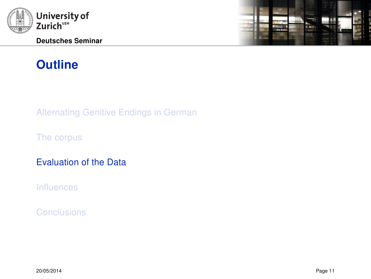<span id="page-12-0"></span>

# **Outline**

[Alternating Genitive Endings in German](#page-3-0)

[The corpus](#page-7-0)

[Evaluation of the Data](#page-12-0)

[Influences](#page-40-0)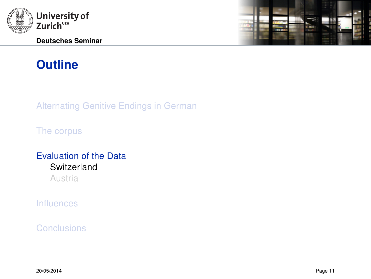<span id="page-13-0"></span>

# **Outline**

[Alternating Genitive Endings in German](#page-3-0)

[The corpus](#page-7-0)

## [Evaluation of the Data](#page-12-0) **[Switzerland](#page-13-0)**

[Austria](#page-32-0)

[Influences](#page-40-0)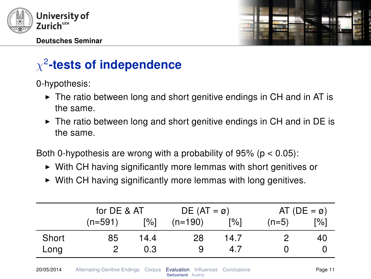



# $\chi^2$ -tests of independence

0-hypothesis:

- $\triangleright$  The ratio between long and short genitive endings in CH and in AT is the same.
- $\triangleright$  The ratio between long and short genitive endings in CH and in DE is the same.

Both 0-hypothesis are wrong with a probability of  $95\%$  ( $p < 0.05$ ):

- $\triangleright$  With CH having significantly more lemmas with short genitives or
- $\triangleright$  With CH having significantly more lemmas with long genitives.

|       | for DE & AT |      | $DE (AT = \emptyset)$ |      |         | AT (DE = $\varnothing$ ) |
|-------|-------------|------|-----------------------|------|---------|--------------------------|
|       | $(n=591)$   | [%]  | $(n=190)$             | [%]  | $(n=5)$ | $\lceil\% \rceil$        |
| Short | 85          | 14.4 | 28                    | 14.7 |         | 40                       |
| Long  |             | 0.3  | 9                     | 4.7  |         |                          |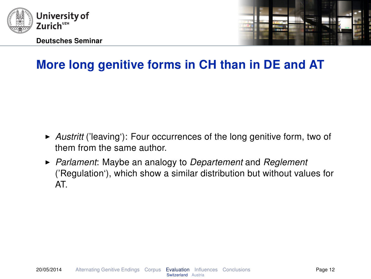



- Austritt ('leaving'): Four occurrences of the long genitive form, two of them from the same author.
- $\triangleright$  Parlament: Maybe an analogy to Departement and Reglement ('Regulation'), which show a similar distribution but without values for AT.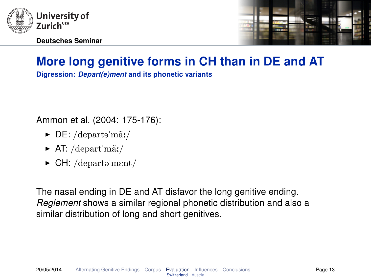



Digression: Depart(e)ment and its phonetic variants

Ammon et al. [\(2004:](#page-57-1) 175-176):

- $\triangleright$  DE: /departə'mãː/
- $\blacktriangleright$  AT: /depart'mãː/
- $\triangleright$  CH: /departə'ment/

The nasal ending in DE and AT disfavor the long genitive ending. Reglement shows a similar regional phonetic distribution and also a similar distribution of long and short genitives.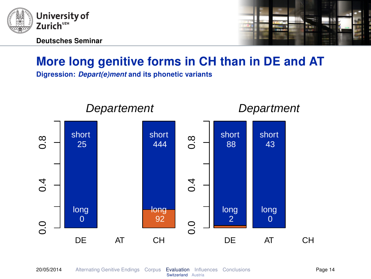



Digression: Depart(e)ment and its phonetic variants

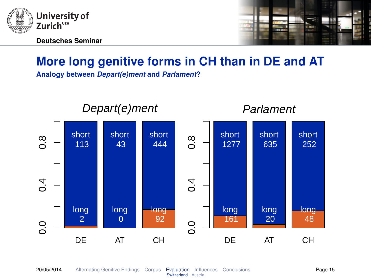



Analogy between Depart(e)ment and Parlament?

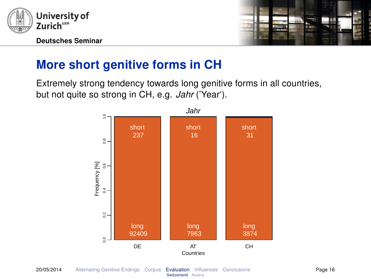



# More short genitive forms in CH

Extremely strong tendency towards long genitive forms in all countries, but not quite so strong in CH, e.g. Jahr ('Year').

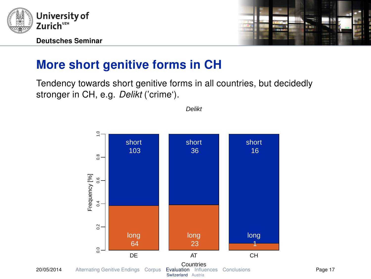



# More short genitive forms in CH

Tendency towards short genitive forms in all countries, but decidedly stronger in CH, e.g. Delikt ('crime').



Delikt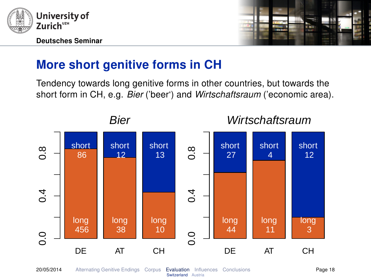



# More short genitive forms in CH

Tendency towards long genitive forms in other countries, but towards the short form in CH, e.g. Bier ('beer') and Wirtschaftsraum ('economic area).

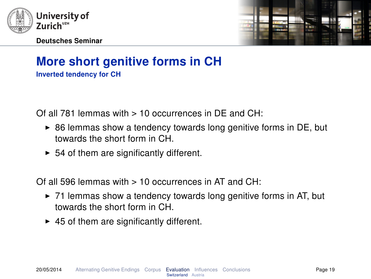



## More short genitive forms in CH Inverted tendency for CH

Of all 781 lemmas with  $> 10$  occurrences in DE and CH $\cdot$ 

- $\triangleright$  86 lemmas show a tendency towards long genitive forms in DE, but towards the short form in CH.
- $\triangleright$  54 of them are significantly different.

Of all 596 lemmas with  $> 10$  occurrences in AT and CH $\cdot$ 

- $\triangleright$  71 lemmas show a tendency towards long genitive forms in AT, but towards the short form in CH.
- $\blacktriangleright$  45 of them are significantly different.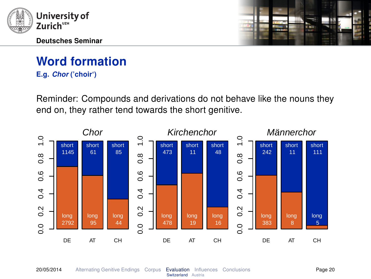



E.g. Chor ('choir')

Reminder: Compounds and derivations do not behave like the nouns they end on, they rather tend towards the short genitive.

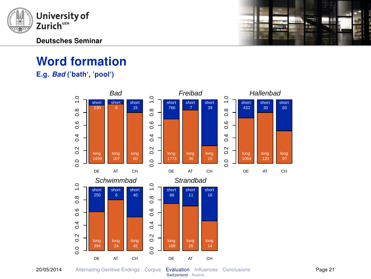



E.g. Bad ('bath', 'pool')

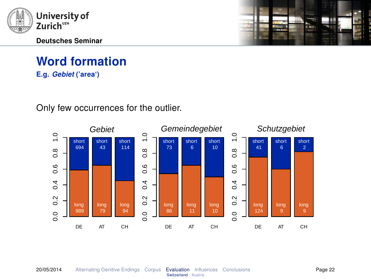

E.g. Gebiet ('area')

Only few occurrences for the outlier.



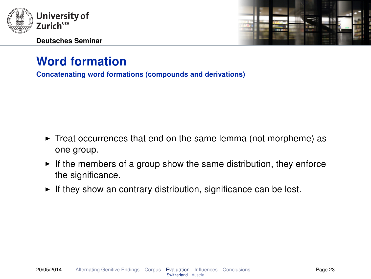



Concatenating word formations (compounds and derivations)

- $\triangleright$  Treat occurrences that end on the same lemma (not morpheme) as one group.
- $\blacktriangleright$  If the members of a group show the same distribution, they enforce the significance.
- $\blacktriangleright$  If they show an contrary distribution, significance can be lost.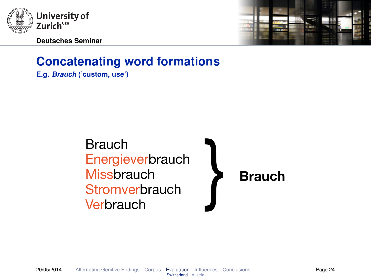

Deutsches Seminar



# Concatenating word formations

E.g. Brauch ('custom, use')

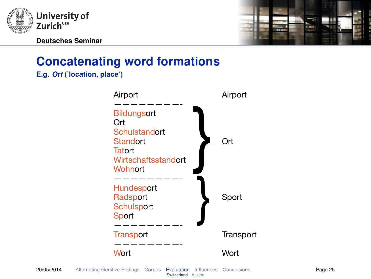



# Concatenating word formations

E.g. Ort ('location, place')

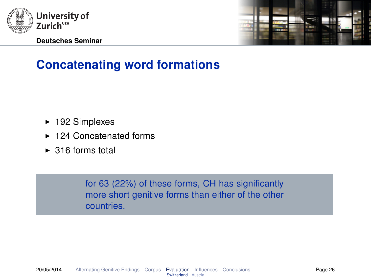



# Concatenating word formations

- $\blacktriangleright$  192 Simplexes
- $\blacktriangleright$  124 Concatenated forms
- $\triangleright$  316 forms total

for 63 (22%) of these forms, CH has significantly more short genitive forms than either of the other countries.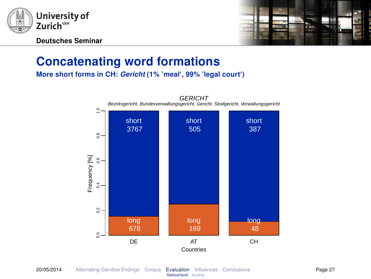



## Concatenating word formations

More short forms in CH: Gericht (1% 'meal', 99% 'legal court')

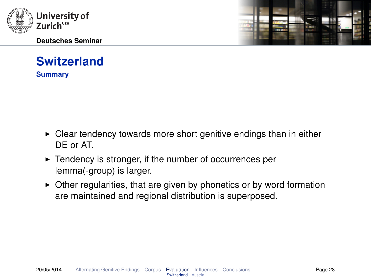



# Switzerland

**Summary** 

- $\triangleright$  Clear tendency towards more short genitive endings than in either DE or AT.
- $\blacktriangleright$  Tendency is stronger, if the number of occurrences per lemma(-group) is larger.
- $\triangleright$  Other regularities, that are given by phonetics or by word formation are maintained and regional distribution is superposed.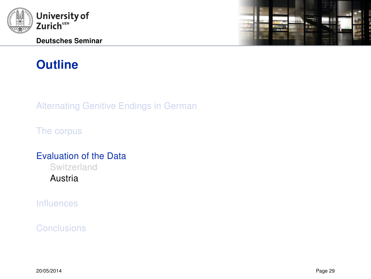<span id="page-32-0"></span>

# **Outline**

[Alternating Genitive Endings in German](#page-3-0)

[The corpus](#page-7-0)

#### [Evaluation of the Data](#page-12-0)

[Switzerland](#page-13-0)

[Austria](#page-32-0)

[Influences](#page-40-0)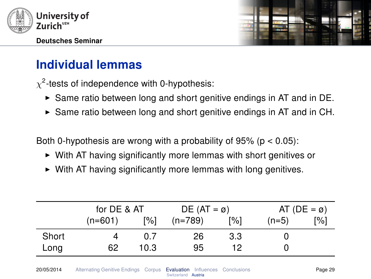



# Individual lemmas

 $\chi^2$ -tests of independence with 0-hypothesis:

- $\triangleright$  Same ratio between long and short genitive endings in AT and in DE.
- $\triangleright$  Same ratio between long and short genitive endings in AT and in CH.

Both 0-hypothesis are wrong with a probability of  $95\%$  ( $p < 0.05$ ):

- $\triangleright$  With AT having significantly more lemmas with short genitives or
- $\triangleright$  With AT having significantly more lemmas with long genitives.

|       | for DE & AT |      | $DE (AT = \emptyset)$ |                   |         | AT (DE = $\varnothing$ ) |
|-------|-------------|------|-----------------------|-------------------|---------|--------------------------|
|       | $(n=601)$   | [%]  | $(n=789)$             | $\lceil\% \rceil$ | $(n=5)$ | [%]                      |
| Short |             | 0.7  | 26                    | 3.3               |         |                          |
| Long  | 62          | 10.3 | 95                    | 12                |         |                          |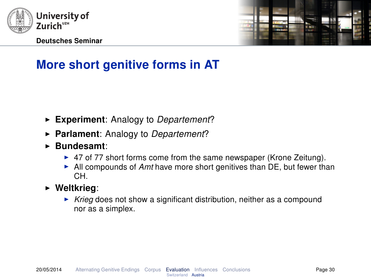



# More short genitive forms in AT

- Experiment: Analogy to Departement?
- $\triangleright$  Parlament: Analogy to Departement?
- $\blacktriangleright$  Bundesamt:
	- $\triangleright$  47 of 77 short forms come from the same newspaper (Krone Zeitung).
	- $\blacktriangleright$  All compounds of Amt have more short genitives than DE, but fewer than CH.
- $\triangleright$  Weltkrieg:
	- $\triangleright$  Krieg does not show a significant distribution, neither as a compound nor as a simplex.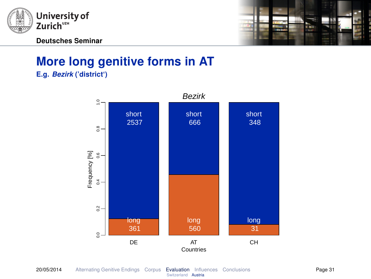



## More long genitive forms in AT E.g. Bezirk ('district')

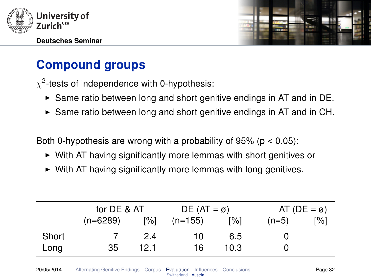



# Compound groups

 $\chi^2$ -tests of independence with 0-hypothesis:

- $\triangleright$  Same ratio between long and short genitive endings in AT and in DE.
- $\triangleright$  Same ratio between long and short genitive endings in AT and in CH.

Both 0-hypothesis are wrong with a probability of 95% ( $p < 0.05$ ):

- $\triangleright$  With AT having significantly more lemmas with short genitives or
- $\triangleright$  With AT having significantly more lemmas with long genitives.

|       | for DE & AT |      | $DE (AT = \emptyset)$ |      |         | AT (DE = $\varnothing$ ) |
|-------|-------------|------|-----------------------|------|---------|--------------------------|
|       | $(n=6289)$  | [%]  | $(n=155)$             | [%]  | $(n=5)$ | [%]                      |
| Short |             | 2.4  | 10                    | 6.5  |         |                          |
| Long  | 35          | 12.1 | 16                    | 10.3 |         |                          |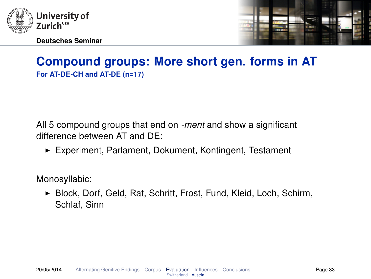



## Compound groups: More short gen. forms in AT For AT-DE-CH and AT-DE (n=17)

All 5 compound groups that end on -ment and show a significant difference between AT and DE:

► Experiment, Parlament, Dokument, Kontingent, Testament

Monosyllabic:

▶ Block, Dorf, Geld, Rat, Schritt, Frost, Fund, Kleid, Loch, Schirm, Schlaf, Sinn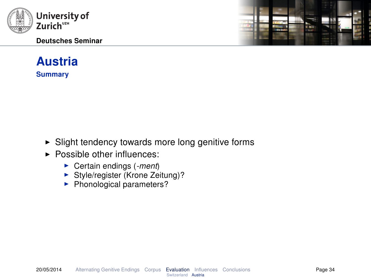



## Austria **Summary**

- $\triangleright$  Slight tendency towards more long genitive forms
- $\blacktriangleright$  Possible other influences:
	- $\triangleright$  Certain endings (-ment)
	- $\triangleright$  Style/register (Krone Zeitung)?
	- $\blacktriangleright$  Phonological parameters?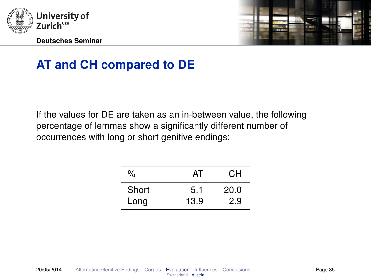



# AT and CH compared to DE

If the values for DE are taken as an in-between value, the following percentage of lemmas show a significantly different number of occurrences with long or short genitive endings:

| $\%$  | AT   | CН   |
|-------|------|------|
| Short | 5.1  | 20.0 |
| Long  | 13.9 | 2.9  |
|       |      |      |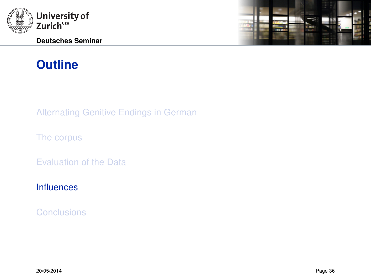<span id="page-40-0"></span>

# **Outline**

[Alternating Genitive Endings in German](#page-3-0)

[The corpus](#page-7-0)

[Evaluation of the Data](#page-12-0)

[Influences](#page-40-0)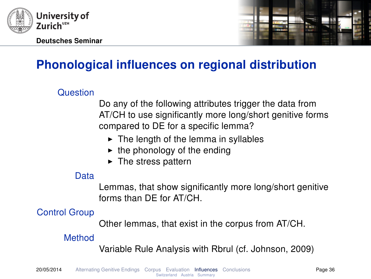



# Phonological influences on regional distribution

#### Question

Do any of the following attributes trigger the data from AT/CH to use significantly more long/short genitive forms compared to DE for a specific lemma?

- $\triangleright$  The length of the lemma in syllables
- $\blacktriangleright$  the phonology of the ending
- $\blacktriangleright$  The stress pattern

#### Data

Lemmas, that show significantly more long/short genitive forms than DE for AT/CH.

## Control Group

Other lemmas, that exist in the corpus from AT/CH.

#### Method

Variable Rule Analysis with Rbrul (cf. Johnson, [2009\)](#page-57-2)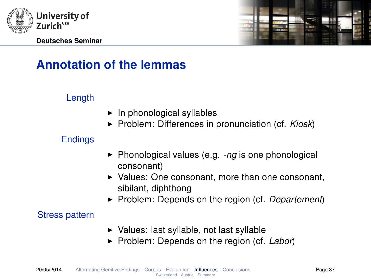



# Annotation of the lemmas

### Length

- $\blacktriangleright$  In phonological syllables
- $\triangleright$  Problem: Differences in pronunciation (cf. Kiosk)

### **Endings**

- $\blacktriangleright$  Phonological values (e.g.  $\text{-}ng$  is one phonological consonant)
- $\blacktriangleright$  Values: One consonant, more than one consonant, sibilant, diphthong
- Problem: Depends on the region (cf. Departement)

#### Stress pattern

- $\triangleright$  Values: last syllable, not last syllable
- Problem: Depends on the region (cf. Labor)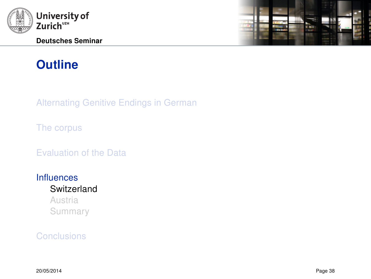<span id="page-43-0"></span>

# **Outline**

[Alternating Genitive Endings in German](#page-3-0)

[The corpus](#page-7-0)

[Evaluation of the Data](#page-12-0)

**[Influences](#page-40-0) [Switzerland](#page-43-0)** [Austria](#page-47-0)

[Summary](#page-51-0)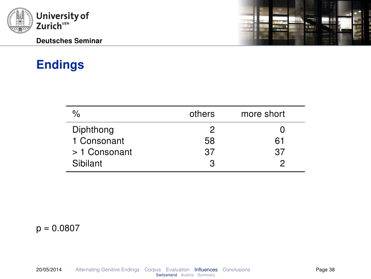

# Endings

| $\%$          | others | more short |  |
|---------------|--------|------------|--|
| Diphthong     | 2      |            |  |
| 1 Consonant   | 58     | 61         |  |
| > 1 Consonant | 37     | 37         |  |
| Sibilant      | З      |            |  |



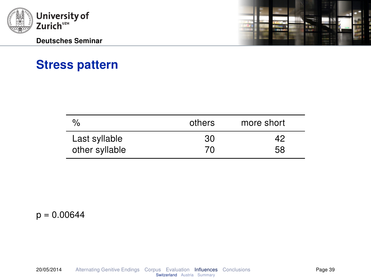



# Stress pattern

| %              | others | more short |
|----------------|--------|------------|
| Last syllable  | 30     | 42         |
| other syllable | 70     | 58         |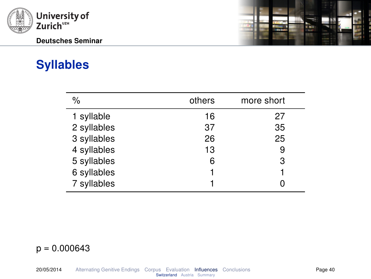

# Syllables

| $\%$        | others | more short |
|-------------|--------|------------|
| 1 syllable  | 16     | 27         |
| 2 syllables | 37     | 35         |
| 3 syllables | 26     | 25         |
| 4 syllables | 13     | 9          |
| 5 syllables | 6      | 3          |
| 6 syllables |        |            |
| 7 syllables |        |            |

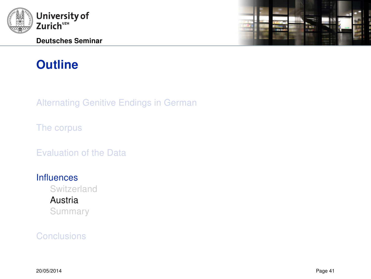<span id="page-47-0"></span>

# 辴

# **Outline**

[Alternating Genitive Endings in German](#page-3-0)

[The corpus](#page-7-0)

[Evaluation of the Data](#page-12-0)

#### **[Influences](#page-40-0)**

[Switzerland](#page-43-0) [Austria](#page-47-0) [Summary](#page-51-0)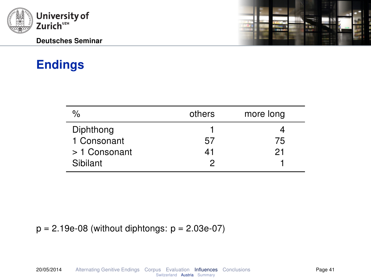

# Endings

ł

| $\%$          | others | more long |
|---------------|--------|-----------|
| Diphthong     |        |           |
| 1 Consonant   | 57     | 75        |
| > 1 Consonant | 41     | 21        |
| Sibilant      |        |           |

 $p = 2.19e-08$  (without diphtongs:  $p = 2.03e-07$ )

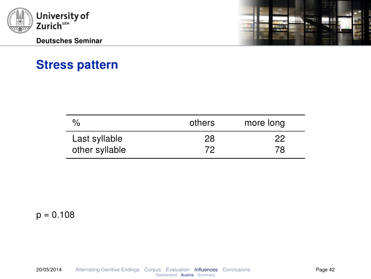



# Stress pattern

| $\%$           | others | more long |
|----------------|--------|-----------|
| Last syllable  | 28     | 22        |
| other syllable | 72     | 78        |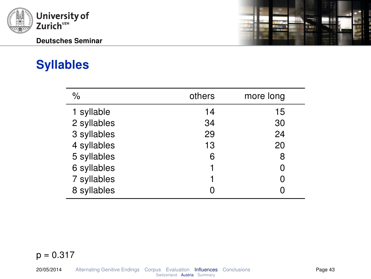

# Syllables

| $\frac{0}{0}$ | others | more long |
|---------------|--------|-----------|
| 1 syllable    | 14     | 15        |
| 2 syllables   | 34     | 30        |
| 3 syllables   | 29     | 24        |
| 4 syllables   | 13     | 20        |
| 5 syllables   | 6      | 8         |
| 6 syllables   |        | ი         |
| 7 syllables   |        |           |
| 8 syllables   |        |           |

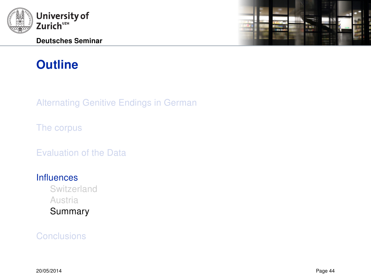<span id="page-51-0"></span>

# l.<br>Timb

# **Outline**

[Alternating Genitive Endings in German](#page-3-0)

[The corpus](#page-7-0)

[Evaluation of the Data](#page-12-0)

#### **[Influences](#page-40-0)**

[Switzerland](#page-43-0) [Austria](#page-47-0) [Summary](#page-51-0)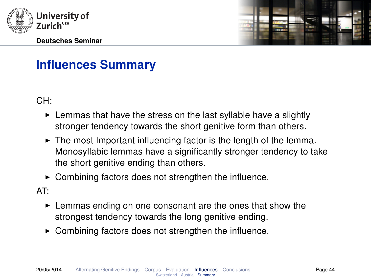



# Influences Summary

CH:

- $\blacktriangleright$  Lemmas that have the stress on the last syllable have a slightly stronger tendency towards the short genitive form than others.
- $\blacktriangleright$  The most Important influencing factor is the length of the lemma. Monosyllabic lemmas have a significantly stronger tendency to take the short genitive ending than others.
- Combining factors does not strengthen the influence.

AT:

- $\blacktriangleright$  Lemmas ending on one consonant are the ones that show the strongest tendency towards the long genitive ending.
- $\triangleright$  Combining factors does not strengthen the influence.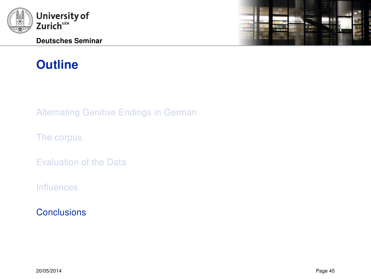<span id="page-53-0"></span>

# **Outline**

[Alternating Genitive Endings in German](#page-3-0)

[The corpus](#page-7-0)

[Evaluation of the Data](#page-12-0)

[Influences](#page-40-0)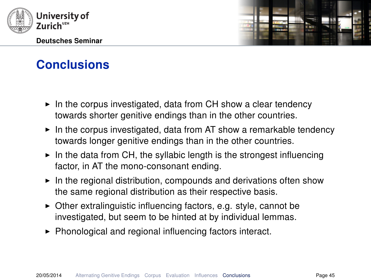



- $\triangleright$  In the corpus investigated, data from CH show a clear tendency towards shorter genitive endings than in the other countries.
- $\triangleright$  In the corpus investigated, data from AT show a remarkable tendency towards longer genitive endings than in the other countries.
- $\triangleright$  In the data from CH, the syllabic length is the strongest influencing factor, in AT the mono-consonant ending.
- $\blacktriangleright$  In the regional distribution, compounds and derivations often show the same regional distribution as their respective basis.
- $\triangleright$  Other extralinguistic influencing factors, e.g. style, cannot be investigated, but seem to be hinted at by individual lemmas.
- $\triangleright$  Phonological and regional influencing factors interact.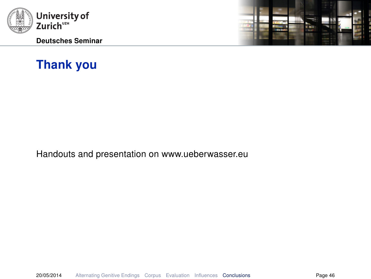

Deutsches Seminar



# Thank you

Handouts and presentation on www.ueberwasser.eu

20/05/2014 [Alternating Genitive Endings](#page-3-0) [Corpus](#page-7-0) [Evaluation](#page-12-0) [Influences](#page-40-0) [Conclusions](#page-53-0) Page 46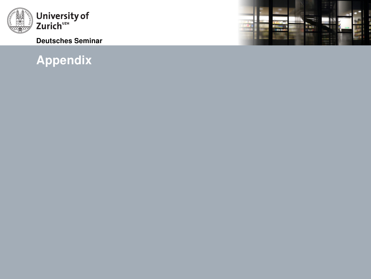<span id="page-56-0"></span>

#### Deutsches Seminar

# [Appendix](#page-56-0)

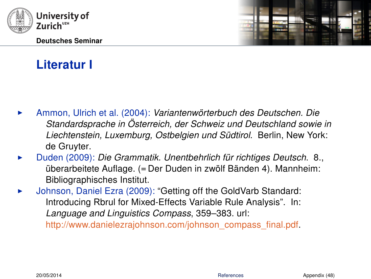<span id="page-57-3"></span>

# Literatur I

- <span id="page-57-1"></span>Ammon, Ulrich et al. (2004): Variantenwörterbuch des Deutschen. Die Standardsprache in Österreich, der Schweiz und Deutschland sowie in Liechtenstein, Luxemburg, Ostbelgien und Südtirol. Berlin, New York: de Gruyter.
- <span id="page-57-0"></span>Duden (2009): Die Grammatik. Unentbehrlich für richtiges Deutsch. 8., überarbeitete Auflage. (= Der Duden in zwölf Bänden 4). Mannheim: Bibliographisches Institut.
- <span id="page-57-2"></span>Johnson, Daniel Ezra (2009): "Getting off the GoldVarb Standard: Introducing Rbrul for Mixed-Effects Variable Rule Analysis". In: Language and Linguistics Compass, 359–383. url: [http://www.danielezrajohnson.com/johnson\\_compass\\_final.pdf.](http://www.danielezrajohnson.com/johnson_compass_final.pdf)